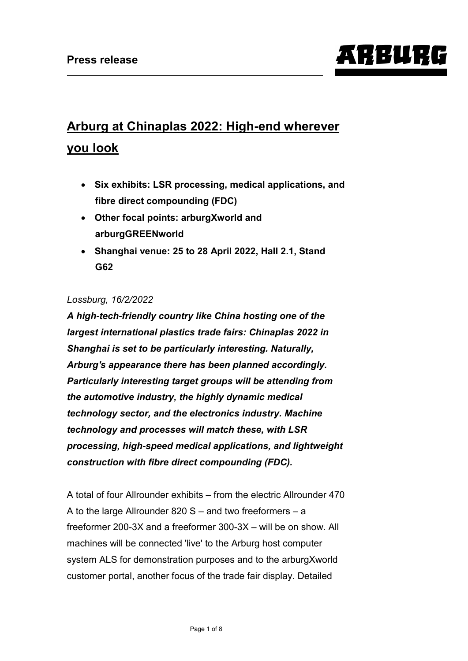# ARBURG

# **Arburg at Chinaplas 2022: High-end wherever you look**

- **Six exhibits: LSR processing, medical applications, and fibre direct compounding (FDC)**
- **Other focal points: arburgXworld and arburgGREENworld**
- **Shanghai venue: 25 to 28 April 2022, Hall 2.1, Stand G62**

#### *Lossburg, 16/2/2022*

*A high-tech-friendly country like China hosting one of the largest international plastics trade fairs: Chinaplas 2022 in Shanghai is set to be particularly interesting. Naturally, Arburg's appearance there has been planned accordingly. Particularly interesting target groups will be attending from the automotive industry, the highly dynamic medical technology sector, and the electronics industry. Machine technology and processes will match these, with LSR processing, high-speed medical applications, and lightweight construction with fibre direct compounding (FDC).* 

A total of four Allrounder exhibits – from the electric Allrounder 470 A to the large Allrounder 820 S – and two freeformers – a freeformer 200-3X and a freeformer 300-3X – will be on show. All machines will be connected 'live' to the Arburg host computer system ALS for demonstration purposes and to the arburgXworld customer portal, another focus of the trade fair display. Detailed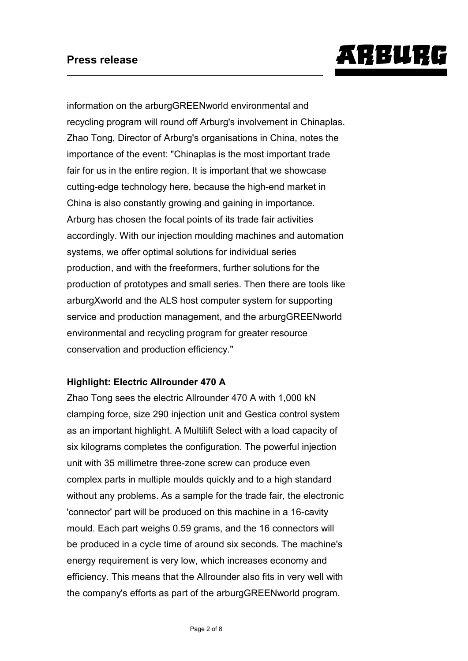

information on the arburgGREENworld environmental and recycling program will round off Arburg's involvement in Chinaplas. Zhao Tong, Director of Arburg's organisations in China, notes the importance of the event: "Chinaplas is the most important trade fair for us in the entire region. It is important that we showcase cutting-edge technology here, because the high-end market in China is also constantly growing and gaining in importance. Arburg has chosen the focal points of its trade fair activities accordingly. With our injection moulding machines and automation systems, we offer optimal solutions for individual series production, and with the freeformers, further solutions for the production of prototypes and small series. Then there are tools like arburgXworld and the ALS host computer system for supporting service and production management, and the arburgGREENworld environmental and recycling program for greater resource conservation and production efficiency."

#### **Highlight: Electric Allrounder 470 A**

Zhao Tong sees the electric Allrounder 470 A with 1,000 kN clamping force, size 290 injection unit and Gestica control system as an important highlight. A Multilift Select with a load capacity of six kilograms completes the configuration. The powerful injection unit with 35 millimetre three-zone screw can produce even complex parts in multiple moulds quickly and to a high standard without any problems. As a sample for the trade fair, the electronic 'connector' part will be produced on this machine in a 16-cavity mould. Each part weighs 0.59 grams, and the 16 connectors will be produced in a cycle time of around six seconds. The machine's energy requirement is very low, which increases economy and efficiency. This means that the Allrounder also fits in very well with the company's efforts as part of the arburgGREENworld program.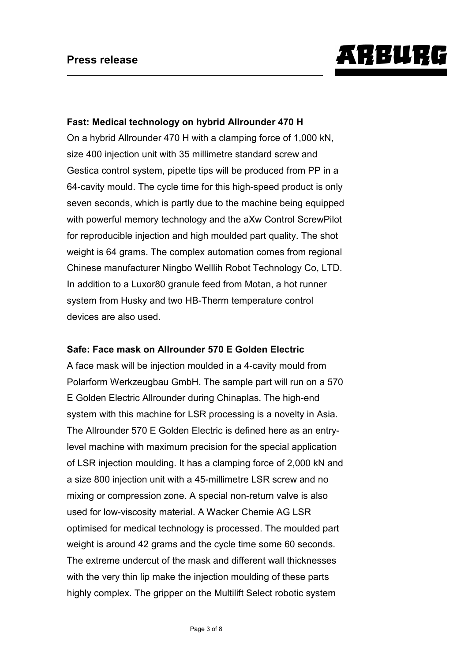

#### **Fast: Medical technology on hybrid Allrounder 470 H**

On a hybrid Allrounder 470 H with a clamping force of 1,000 kN, size 400 injection unit with 35 millimetre standard screw and Gestica control system, pipette tips will be produced from PP in a 64-cavity mould. The cycle time for this high-speed product is only seven seconds, which is partly due to the machine being equipped with powerful memory technology and the aXw Control ScrewPilot for reproducible injection and high moulded part quality. The shot weight is 64 grams. The complex automation comes from regional Chinese manufacturer Ningbo Welllih Robot Technology Co, LTD. In addition to a Luxor80 granule feed from Motan, a hot runner system from Husky and two HB-Therm temperature control devices are also used.

#### **Safe: Face mask on Allrounder 570 E Golden Electric**

A face mask will be injection moulded in a 4-cavity mould from Polarform Werkzeugbau GmbH. The sample part will run on a 570 E Golden Electric Allrounder during Chinaplas. The high-end system with this machine for LSR processing is a novelty in Asia. The Allrounder 570 E Golden Electric is defined here as an entrylevel machine with maximum precision for the special application of LSR injection moulding. It has a clamping force of 2,000 kN and a size 800 injection unit with a 45-millimetre LSR screw and no mixing or compression zone. A special non-return valve is also used for low-viscosity material. A Wacker Chemie AG LSR optimised for medical technology is processed. The moulded part weight is around 42 grams and the cycle time some 60 seconds. The extreme undercut of the mask and different wall thicknesses with the very thin lip make the injection moulding of these parts highly complex. The gripper on the Multilift Select robotic system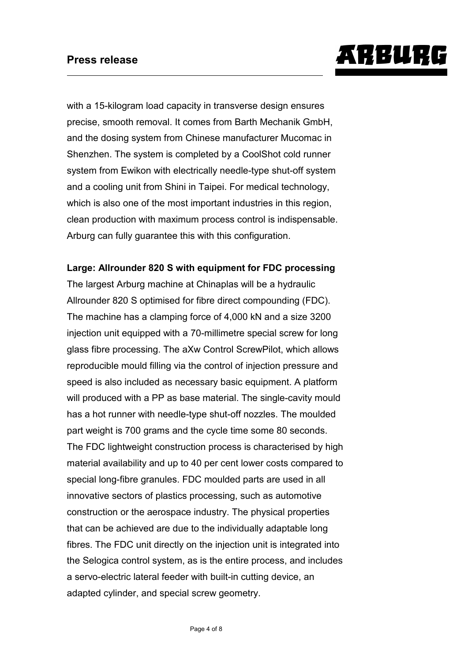# ARBURG

with a 15-kilogram load capacity in transverse design ensures precise, smooth removal. It comes from Barth Mechanik GmbH, and the dosing system from Chinese manufacturer Mucomac in Shenzhen. The system is completed by a CoolShot cold runner system from Ewikon with electrically needle-type shut-off system and a cooling unit from Shini in Taipei. For medical technology, which is also one of the most important industries in this region, clean production with maximum process control is indispensable. Arburg can fully guarantee this with this configuration.

#### **Large: Allrounder 820 S with equipment for FDC processing**

The largest Arburg machine at Chinaplas will be a hydraulic Allrounder 820 S optimised for fibre direct compounding (FDC). The machine has a clamping force of 4,000 kN and a size 3200 injection unit equipped with a 70-millimetre special screw for long glass fibre processing. The aXw Control ScrewPilot, which allows reproducible mould filling via the control of injection pressure and speed is also included as necessary basic equipment. A platform will produced with a PP as base material. The single-cavity mould has a hot runner with needle-type shut-off nozzles. The moulded part weight is 700 grams and the cycle time some 80 seconds. The FDC lightweight construction process is characterised by high material availability and up to 40 per cent lower costs compared to special long-fibre granules. FDC moulded parts are used in all innovative sectors of plastics processing, such as automotive construction or the aerospace industry. The physical properties that can be achieved are due to the individually adaptable long fibres. The FDC unit directly on the injection unit is integrated into the Selogica control system, as is the entire process, and includes a servo-electric lateral feeder with built-in cutting device, an adapted cylinder, and special screw geometry.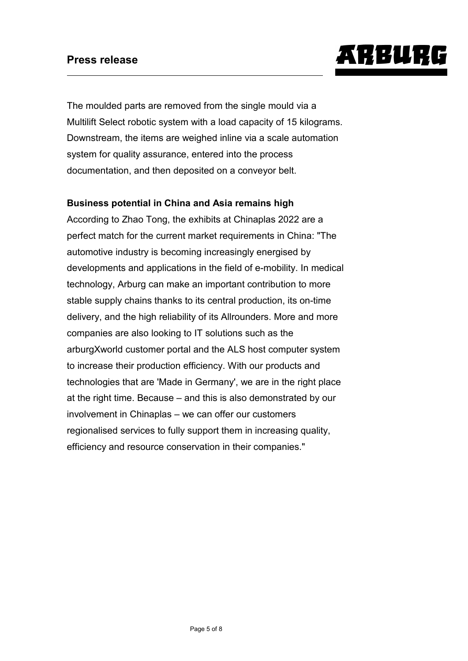

The moulded parts are removed from the single mould via a Multilift Select robotic system with a load capacity of 15 kilograms. Downstream, the items are weighed inline via a scale automation system for quality assurance, entered into the process documentation, and then deposited on a conveyor belt.

#### **Business potential in China and Asia remains high**

According to Zhao Tong, the exhibits at Chinaplas 2022 are a perfect match for the current market requirements in China: "The automotive industry is becoming increasingly energised by developments and applications in the field of e-mobility. In medical technology, Arburg can make an important contribution to more stable supply chains thanks to its central production, its on-time delivery, and the high reliability of its Allrounders. More and more companies are also looking to IT solutions such as the arburgXworld customer portal and the ALS host computer system to increase their production efficiency. With our products and technologies that are 'Made in Germany', we are in the right place at the right time. Because – and this is also demonstrated by our involvement in Chinaplas – we can offer our customers regionalised services to fully support them in increasing quality, efficiency and resource conservation in their companies."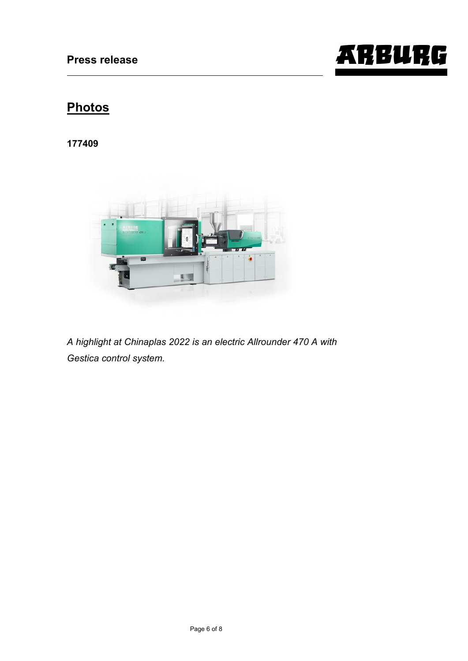

## **Photos**

**177409**



*A highlight at Chinaplas 2022 is an electric Allrounder 470 A with Gestica control system.*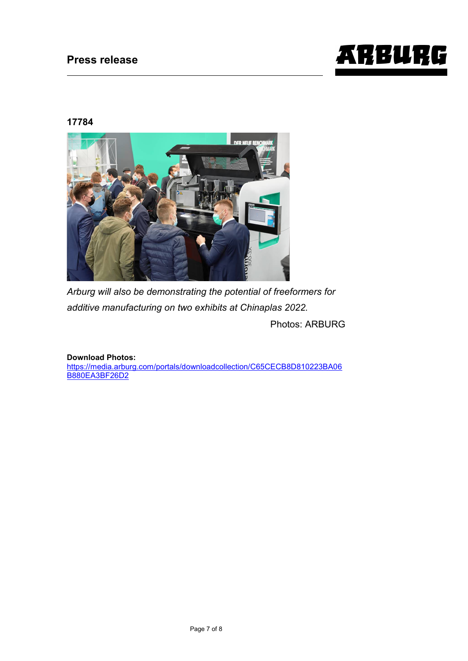

#### **17784**



*Arburg will also be demonstrating the potential of freeformers for additive manufacturing on two exhibits at Chinaplas 2022.*

Photos: ARBURG

**Download Photos:**

[https://media.arburg.com/portals/downloadcollection/C65CECB8D810223BA06](https://media.arburg.com/portals/downloadcollection/C65CECB8D810223BA06B880EA3BF26D2) [B880EA3BF26D2](https://media.arburg.com/portals/downloadcollection/C65CECB8D810223BA06B880EA3BF26D2)